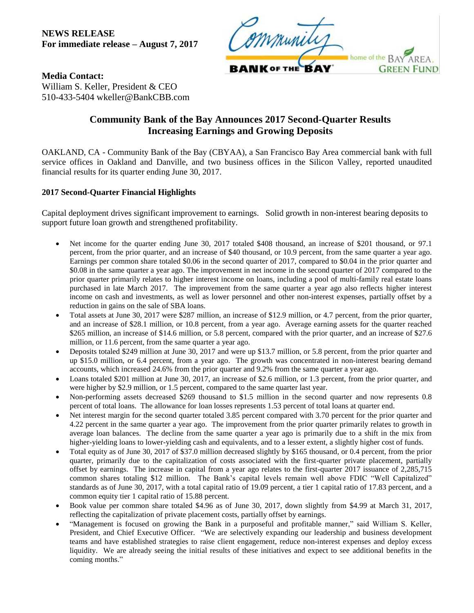**NEWS RELEASE For immediate release – August 7, 2017**



**Media Contact:** William S. Keller, President & CEO 510-433-5404 wkeller@BankCBB.com

## **Community Bank of the Bay Announces 2017 Second-Quarter Results Increasing Earnings and Growing Deposits**

OAKLAND, CA - Community Bank of the Bay (CBYAA), a San Francisco Bay Area commercial bank with full service offices in Oakland and Danville, and two business offices in the Silicon Valley, reported unaudited financial results for its quarter ending June 30, 2017.

## **2017 Second-Quarter Financial Highlights**

Capital deployment drives significant improvement to earnings. Solid growth in non-interest bearing deposits to support future loan growth and strengthened profitability.

- Net income for the quarter ending June 30, 2017 totaled \$408 thousand, an increase of \$201 thousand, or 97.1 percent, from the prior quarter, and an increase of \$40 thousand, or 10.9 percent, from the same quarter a year ago. Earnings per common share totaled \$0.06 in the second quarter of 2017, compared to \$0.04 in the prior quarter and \$0.08 in the same quarter a year ago. The improvement in net income in the second quarter of 2017 compared to the prior quarter primarily relates to higher interest income on loans, including a pool of multi-family real estate loans purchased in late March 2017. The improvement from the same quarter a year ago also reflects higher interest income on cash and investments, as well as lower personnel and other non-interest expenses, partially offset by a reduction in gains on the sale of SBA loans.
- Total assets at June 30, 2017 were \$287 million, an increase of \$12.9 million, or 4.7 percent, from the prior quarter, and an increase of \$28.1 million, or 10.8 percent, from a year ago. Average earning assets for the quarter reached \$265 million, an increase of \$14.6 million, or 5.8 percent, compared with the prior quarter, and an increase of \$27.6 million, or 11.6 percent, from the same quarter a year ago.
- Deposits totaled \$249 million at June 30, 2017 and were up \$13.7 million, or 5.8 percent, from the prior quarter and up \$15.0 million, or 6.4 percent, from a year ago. The growth was concentrated in non-interest bearing demand accounts, which increased 24.6% from the prior quarter and 9.2% from the same quarter a year ago.
- Loans totaled \$201 million at June 30, 2017, an increase of \$2.6 million, or 1.3 percent, from the prior quarter, and were higher by \$2.9 million, or 1.5 percent, compared to the same quarter last year.
- Non-performing assets decreased \$269 thousand to \$1.5 million in the second quarter and now represents 0.8 percent of total loans. The allowance for loan losses represents 1.53 percent of total loans at quarter end.
- Net interest margin for the second quarter totaled 3.85 percent compared with 3.70 percent for the prior quarter and 4.22 percent in the same quarter a year ago. The improvement from the prior quarter primarily relates to growth in average loan balances. The decline from the same quarter a year ago is primarily due to a shift in the mix from higher-yielding loans to lower-yielding cash and equivalents, and to a lesser extent, a slightly higher cost of funds.
- Total equity as of June 30, 2017 of \$37.0 million decreased slightly by \$165 thousand, or 0.4 percent, from the prior quarter, primarily due to the capitalization of costs associated with the first-quarter private placement, partially offset by earnings. The increase in capital from a year ago relates to the first-quarter 2017 issuance of 2,285,715 common shares totaling \$12 million. The Bank's capital levels remain well above FDIC "Well Capitalized" standards as of June 30, 2017, with a total capital ratio of 19.09 percent, a tier 1 capital ratio of 17.83 percent, and a common equity tier 1 capital ratio of 15.88 percent.
- Book value per common share totaled \$4.96 as of June 30, 2017, down slightly from \$4.99 at March 31, 2017, reflecting the capitalization of private placement costs, partially offset by earnings.
- "Management is focused on growing the Bank in a purposeful and profitable manner," said William S. Keller, President, and Chief Executive Officer. "We are selectively expanding our leadership and business development teams and have established strategies to raise client engagement, reduce non-interest expenses and deploy excess liquidity. We are already seeing the initial results of these initiatives and expect to see additional benefits in the coming months."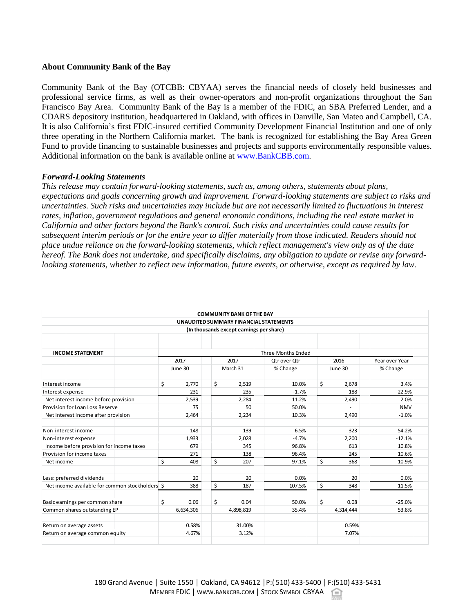## **About Community Bank of the Bay**

Community Bank of the Bay (OTCBB: CBYAA) serves the financial needs of closely held businesses and professional service firms, as well as their owner-operators and non-profit organizations throughout the San Francisco Bay Area. Community Bank of the Bay is a member of the FDIC, an SBA Preferred Lender, and a CDARS depository institution, headquartered in Oakland, with offices in Danville, San Mateo and Campbell, CA. It is also California's first FDIC-insured certified Community Development Financial Institution and one of only three operating in the Northern California market. The bank is recognized for establishing the Bay Area Green Fund to provide financing to sustainable businesses and projects and supports environmentally responsible values. Additional information on the bank is available online at [www.BankCBB.com.](http://www.bankcbb.com/)

## *Forward-Looking Statements*

*This release may contain forward-looking statements, such as, among others, statements about plans, expectations and goals concerning growth and improvement. Forward-looking statements are subject to risks and uncertainties. Such risks and uncertainties may include but are not necessarily limited to fluctuations in interest rates, inflation, government regulations and general economic conditions, including the real estate market in California and other factors beyond the Bank's control. Such risks and uncertainties could cause results for subsequent interim periods or for the entire year to differ materially from those indicated. Readers should not place undue reliance on the forward-looking statements, which reflect management's view only as of the date hereof. The Bank does not undertake, and specifically disclaims, any obligation to update or revise any forwardlooking statements, whether to reflect new information, future events, or otherwise, except as required by law.*

|                                                 |                    | <b>COMMUNITY BANK OF THE BAY</b> |              |             |                |  |  |  |  |  |
|-------------------------------------------------|--------------------|----------------------------------|--------------|-------------|----------------|--|--|--|--|--|
| UNAUDITED SUMMARY FINANCIAL STATEMENTS          |                    |                                  |              |             |                |  |  |  |  |  |
| (In thousands except earnings per share)        |                    |                                  |              |             |                |  |  |  |  |  |
|                                                 |                    |                                  |              |             |                |  |  |  |  |  |
|                                                 |                    |                                  |              |             |                |  |  |  |  |  |
| <b>INCOME STATEMENT</b>                         | Three Months Ended |                                  |              |             |                |  |  |  |  |  |
|                                                 | 2017               | 2017                             | Otr over Otr | 2016        | Year over Year |  |  |  |  |  |
|                                                 | June 30            | March 31                         | % Change     | June 30     | % Change       |  |  |  |  |  |
| Interest income                                 | \$<br>2,770        | \$<br>2,519                      | 10.0%        | \$<br>2,678 | 3.4%           |  |  |  |  |  |
| Interest expense                                | 231                | 235                              | $-1.7%$      | 188         | 22.9%          |  |  |  |  |  |
| Net interest income before provision            | 2,539              | 2,284                            | 11.2%        | 2,490       | 2.0%           |  |  |  |  |  |
| Provision for Loan Loss Reserve                 | 75                 | 50                               | 50.0%        |             | <b>NMV</b>     |  |  |  |  |  |
| Net interest income after provision             | 2,464              | 2,234                            | 10.3%        | 2.490       | $-1.0%$        |  |  |  |  |  |
| Non-interest income                             | 148                | 139                              | 6.5%         | 323         | $-54.2%$       |  |  |  |  |  |
| Non-interest expense                            | 1.933              | 2.028                            | $-4.7%$      | 2.200       | $-12.1%$       |  |  |  |  |  |
| Income before provision for income taxes        | 679                | 345                              | 96.8%        | 613         | 10.8%          |  |  |  |  |  |
| Provision for income taxes                      | 271                | 138                              | 96.4%        | 245         | 10.6%          |  |  |  |  |  |
| Net income                                      | \$<br>408          | \$<br>207                        | 97.1%        | \$<br>368   | 10.9%          |  |  |  |  |  |
| Less: preferred dividends                       | 20                 | 20                               | 0.0%         | 20          | 0.0%           |  |  |  |  |  |
| Net income available for common stockholders \$ | 388                | \$<br>187                        | 107.5%       | \$<br>348   | 11.5%          |  |  |  |  |  |
| Basic earnings per common share                 | \$<br>0.06         | Ś<br>0.04                        | 50.0%        | \$<br>0.08  | $-25.0%$       |  |  |  |  |  |
| Common shares outstanding EP                    | 6,634,306          | 4.898.819                        | 35.4%        | 4,314,444   | 53.8%          |  |  |  |  |  |
| Return on average assets                        | 0.58%              | 31.00%                           |              | 0.59%       |                |  |  |  |  |  |
| Return on average common equity                 | 4.67%              | 3.12%                            |              | 7.07%       |                |  |  |  |  |  |